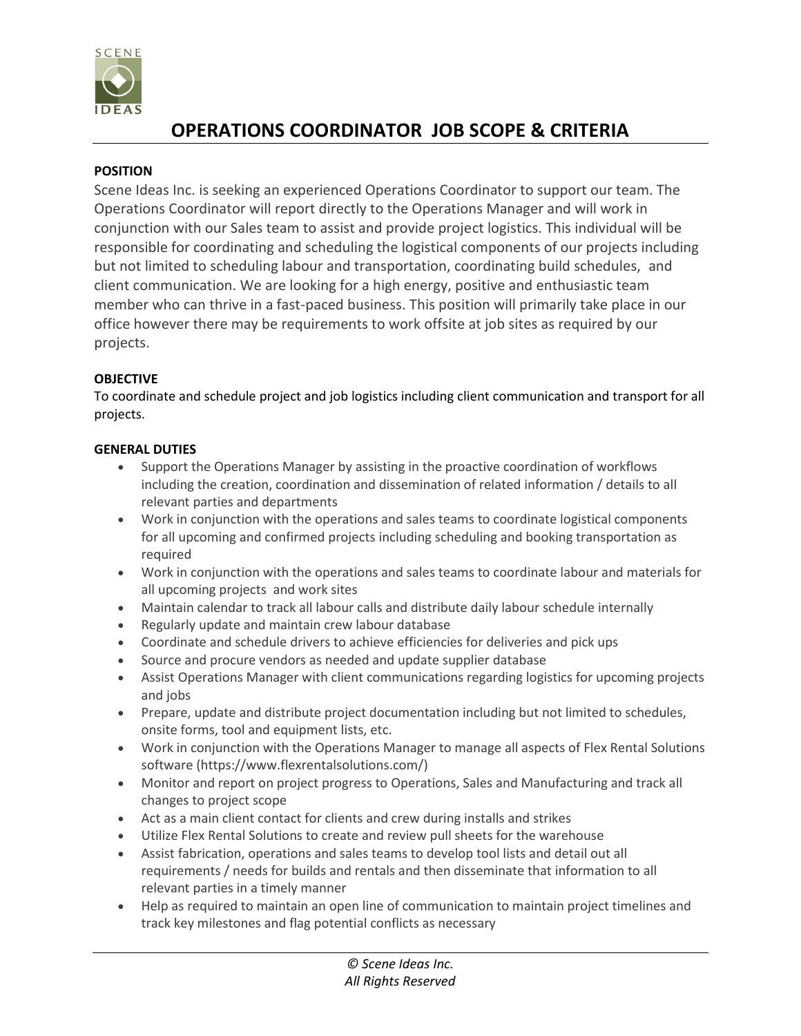

# **OPERATIONS COORDINATOR JOB SCOPE & CRITERIA**

## **POSITION**

Scene Ideas Inc. is seeking an experienced Operations Coordinator to support our team. The Operations Coordinator will report directly to the Operations Manager and will work in conjunction with our Sales team to assist and provide project logistics. This individual will be responsible for coordinating and scheduling the logistical components of our projects including but not limited to scheduling labour and transportation, coordinating build schedules, and client communication. We are looking for a high energy, positive and enthusiastic team member who can thrive in a fast-paced business. This position will primarily take place in our office however there may be requirements to work offsite at job sites as required by our projects.

## **OBJECTIVE**

To coordinate and schedule project and job logistics including client communication and transport for all projects.

## **GENERAL DUTIES**

- Support the Operations Manager by assisting in the proactive coordination of workflows including the creation, coordination and dissemination of related information / details to all relevant parties and departments
- Work in conjunction with the operations and sales teams to coordinate logistical components for all upcoming and confirmed projects including scheduling and booking transportation as required
- Work in conjunction with the operations and sales teams to coordinate labour and materials for all upcoming projects and work sites
- Maintain calendar to track all labour calls and distribute daily labour schedule internally
- Regularly update and maintain crew labour database
- Coordinate and schedule drivers to achieve efficiencies for deliveries and pick ups
- Source and procure vendors as needed and update supplier database
- Assist Operations Manager with client communications regarding logistics for upcoming projects and jobs
- Prepare, update and distribute project documentation including but not limited to schedules, onsite forms, tool and equipment lists, etc.
- Work in conjunction with the Operations Manager to manage all aspects of Flex Rental Solutions software (https://www.flexrentalsolutions.com/)
- Monitor and report on project progress to Operations, Sales and Manufacturing and track all changes to project scope
- Act as a main client contact for clients and crew during installs and strikes
- Utilize Flex Rental Solutions to create and review pull sheets for the warehouse
- Assist fabrication, operations and sales teams to develop tool lists and detail out all requirements / needs for builds and rentals and then disseminate that information to all relevant parties in a timely manner
- Help as required to maintain an open line of communication to maintain project timelines and track key milestones and flag potential conflicts as necessary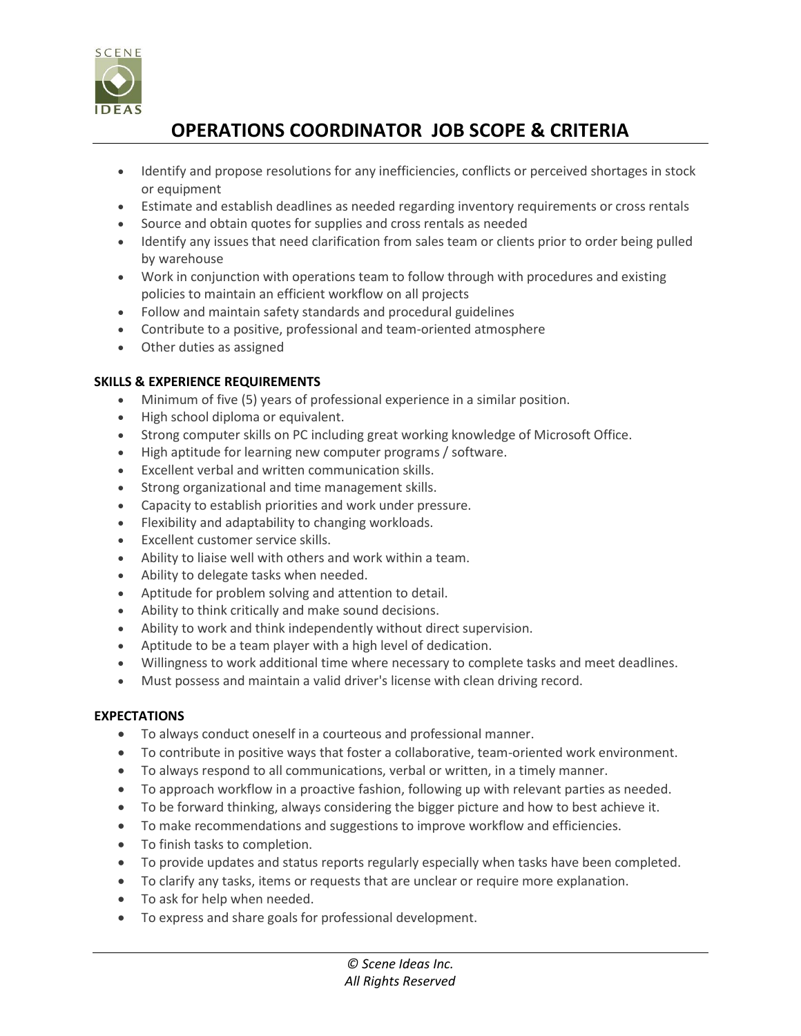

# **OPERATIONS COORDINATOR JOB SCOPE & CRITERIA**

- Identify and propose resolutions for any inefficiencies, conflicts or perceived shortages in stock or equipment
- Estimate and establish deadlines as needed regarding inventory requirements or cross rentals
- Source and obtain quotes for supplies and cross rentals as needed
- Identify any issues that need clarification from sales team or clients prior to order being pulled by warehouse
- Work in conjunction with operations team to follow through with procedures and existing policies to maintain an efficient workflow on all projects
- Follow and maintain safety standards and procedural guidelines
- Contribute to a positive, professional and team-oriented atmosphere
- Other duties as assigned

### **SKILLS & EXPERIENCE REQUIREMENTS**

- Minimum of five (5) years of professional experience in a similar position.
- High school diploma or equivalent.
- Strong computer skills on PC including great working knowledge of Microsoft Office.
- High aptitude for learning new computer programs / software.
- Excellent verbal and written communication skills.
- Strong organizational and time management skills.
- Capacity to establish priorities and work under pressure.
- Flexibility and adaptability to changing workloads.
- Excellent customer service skills.
- Ability to liaise well with others and work within a team.
- Ability to delegate tasks when needed.
- Aptitude for problem solving and attention to detail.
- Ability to think critically and make sound decisions.
- Ability to work and think independently without direct supervision.
- Aptitude to be a team player with a high level of dedication.
- Willingness to work additional time where necessary to complete tasks and meet deadlines.
- Must possess and maintain a valid driver's license with clean driving record.

#### **EXPECTATIONS**

- To always conduct oneself in a courteous and professional manner.
- To contribute in positive ways that foster a collaborative, team-oriented work environment.
- To always respond to all communications, verbal or written, in a timely manner.
- To approach workflow in a proactive fashion, following up with relevant parties as needed.
- To be forward thinking, always considering the bigger picture and how to best achieve it.
- To make recommendations and suggestions to improve workflow and efficiencies.
- To finish tasks to completion.
- To provide updates and status reports regularly especially when tasks have been completed.
- To clarify any tasks, items or requests that are unclear or require more explanation.
- To ask for help when needed.
- To express and share goals for professional development.